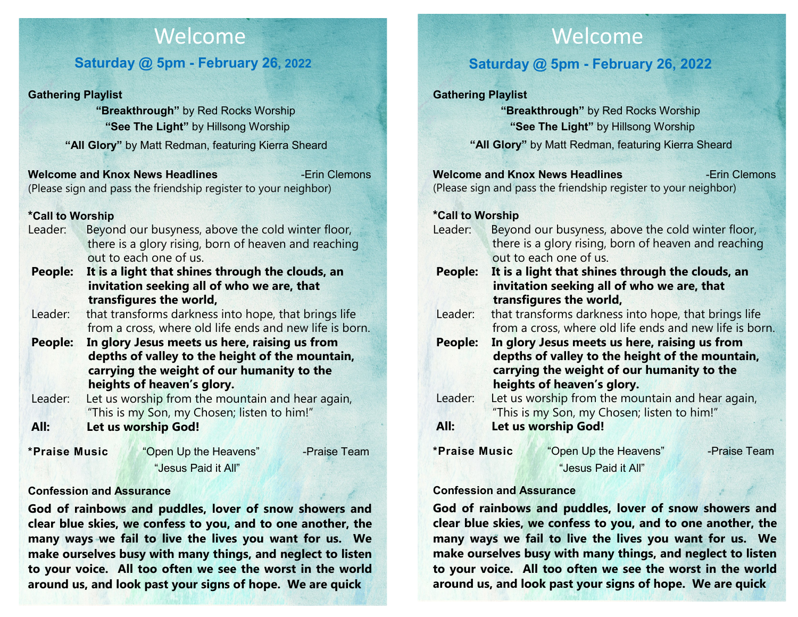# Welcome

## **Saturday @ 5pm - February 26, 2022**

#### **Gathering Playlist**

 **"Breakthrough"** by Red Rocks Worship **"See The Light"** by Hillsong Worship **"All Glory"** by Matt Redman, featuring Kierra Sheard

**Welcome and Knox News Headlines** -Erin Clemons (Please sign and pass the friendship register to your neighbor)

#### **\*Call to Worship**

- Leader: Beyond our busyness, above the cold winter floor, there is a glory rising, born of heaven and reaching out to each one of us.
- **People: It is a light that shines through the clouds, an invitation seeking all of who we are, that transfigures the world,**
- Leader: that transforms darkness into hope, that brings life from a cross, where old life ends and new life is born.
- **People: In glory Jesus meets us here, raising us from depths of valley to the height of the mountain, carrying the weight of our humanity to the heights of heaven's glory.**
- Leader: Let us worship from the mountain and hear again, "This is my Son, my Chosen; listen to him!" **All: Let us worship God!**

| *Praise Music | "Open Up the Heavens" | -Praise Team |
|---------------|-----------------------|--------------|
|               | "Jesus Paid it All"   |              |

#### **Confession and Assurance**

**God of rainbows and puddles, lover of snow showers and clear blue skies, we confess to you, and to one another, the many ways we fail to live the lives you want for us. We make ourselves busy with many things, and neglect to listen to your voice. All too often we see the worst in the world around us, and look past your signs of hope. We are quick** 

# Welcome

## **Saturday @ 5pm - February 26, 2022**

#### **Gathering Playlist**

 **"Breakthrough"** by Red Rocks Worship **"See The Light"** by Hillsong Worship

**"All Glory"** by Matt Redman, featuring Kierra Sheard

|                  |                                                         | <b>Welcome and Knox News Headlines</b>                          | -Erin Clemons |
|------------------|---------------------------------------------------------|-----------------------------------------------------------------|---------------|
|                  |                                                         | (Please sign and pass the friendship register to your neighbor) |               |
|                  |                                                         |                                                                 |               |
| *Call to Worship |                                                         |                                                                 |               |
| Leader:          | Beyond our busyness, above the cold winter floor,       |                                                                 |               |
|                  | there is a glory rising, born of heaven and reaching    |                                                                 |               |
|                  |                                                         | out to each one of us.                                          |               |
| People:          | It is a light that shines through the clouds, an        |                                                                 |               |
|                  | invitation seeking all of who we are, that              |                                                                 |               |
|                  | transfigures the world,                                 |                                                                 |               |
| Leader:          | that transforms darkness into hope, that brings life    |                                                                 |               |
|                  | from a cross, where old life ends and new life is born. |                                                                 |               |
| <b>People:</b>   |                                                         | In glory Jesus meets us here, raising us from                   |               |
|                  |                                                         | depths of valley to the height of the mountain,                 |               |
|                  |                                                         | carrying the weight of our humanity to the                      |               |
|                  |                                                         | heights of heaven's glory.                                      |               |
| Leader:          | Let us worship from the mountain and hear again,        |                                                                 |               |
|                  |                                                         | "This is my Son, my Chosen; listen to him!"                     |               |
| All:             |                                                         | Let us worship God!                                             |               |
| *Praise Music    |                                                         | "Open Up the Heavens"                                           | -Praise Team  |
|                  |                                                         | "Jesus Paid it All"                                             |               |

#### **Confession and Assurance**

**God of rainbows and puddles, lover of snow showers and clear blue skies, we confess to you, and to one another, the many ways we fail to live the lives you want for us. We make ourselves busy with many things, and neglect to listen to your voice. All too often we see the worst in the world around us, and look past your signs of hope. We are quick**